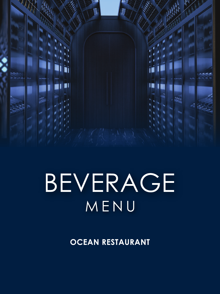

# BEVERAGE MENU

OCEAN RESTAURANT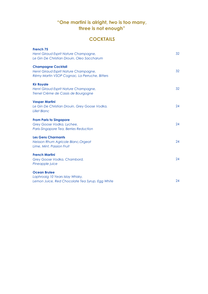#### **"One martini is alright, two is too many, three is not enough"**

#### **COCKTAILS**

| French <sub>75</sub><br>Henri Giraud Esprit Nature Champagne,<br>Le Gin De Christian Drouin, Oleo Saccharum         | 32 |
|---------------------------------------------------------------------------------------------------------------------|----|
| <b>Champagne Cocktail</b><br>Henri Giraud Esprit Nature Champagne,<br>Rémy Martin VSOP Cognac, La Perruche, Bitters | 32 |
| <b>Kir Royale</b><br>Henri Giraud Esprit Nature Champagne,<br>Trenel Crème de Cassis de Bourgogne                   | 32 |
| <b>Vesper Martini</b><br>Le Gin De Christian Drouin, Grey Goose Vodka,<br><b>Lillet Blanc</b>                       | 24 |
| <b>From Paris to Singapore</b><br>Grey Goose Vodka, Lychee,<br>Paris-Singapore Tea, Berries Reduction               | 24 |
| <b>Les Gens Charmants</b><br>Neisson Rhum Agricole Blanc, Orgeat<br>Lime, Mint, Passion Fruit                       | 24 |
| <b>French Martini</b><br>Grey Goose Vodka, Chambord,<br>Pineapple juice                                             | 24 |
| <b>Ocean Brulee</b><br>Laphroaig 10 Years Islay Whisky,<br>Lemon Juice, Red Chocolate Tea Syrup, Egg White          | 24 |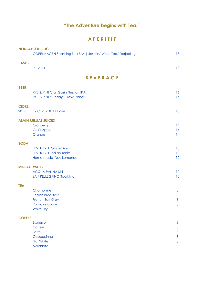## **"The Adventure begins with Tea."**

### **A P E R I T I F**

| <b>NON-ALCOHOLIC</b> |                                                                                      |          |  |  |
|----------------------|--------------------------------------------------------------------------------------|----------|--|--|
|                      | COPENHAGEN Sparkling Tea BLÅ   Jasmin/ White Tea/ Darjeeling                         | 18       |  |  |
| <b>PASTIS</b>        |                                                                                      |          |  |  |
|                      | <b>RICARD</b>                                                                        | 18       |  |  |
| BEVERAGE             |                                                                                      |          |  |  |
| <b>BEER</b>          |                                                                                      |          |  |  |
|                      | <b>RYE &amp; PINT 'Star Gazin' Session IPA</b><br>RYE & PINT 'Sunday's Brew' Pilsner | 16<br>16 |  |  |
| <b>CIDRE</b>         |                                                                                      |          |  |  |
| 2019                 | <b>ERIC BORDELET Poire</b>                                                           | 18       |  |  |
|                      | <b>ALAIN MILLIAT JUICES</b>                                                          |          |  |  |
|                      | Cranberry                                                                            | 14       |  |  |
|                      | Cox's Apple                                                                          | 14       |  |  |
|                      | Orange                                                                               | 14       |  |  |
| <b>SODA</b>          |                                                                                      |          |  |  |
|                      | <b>FEVER TREE Ginger Ale</b>                                                         | 10       |  |  |
|                      | <b>FEVER TREE Indian Tonic</b>                                                       | 10       |  |  |
|                      | Home-made Yuzu Lemonde                                                               | 10       |  |  |
| <b>MINERAL WATER</b> |                                                                                      |          |  |  |
|                      | <b>ACQUA PANNA Still</b>                                                             | 10       |  |  |
|                      | <b>SAN PELLEGRINO Sparkling</b>                                                      | 10       |  |  |
| <b>TEA</b>           |                                                                                      |          |  |  |
|                      | Chamomile                                                                            | 8        |  |  |
|                      | <b>English Breakfast</b>                                                             | 8        |  |  |
|                      | <b>French Earl Grey</b>                                                              | 8        |  |  |
|                      | Paris-Singapore                                                                      | 8        |  |  |
|                      | White Sky                                                                            | 8        |  |  |
| <b>COFFEE</b>        |                                                                                      |          |  |  |
|                      | <b>Espresso</b>                                                                      | 8        |  |  |
|                      | Coffee                                                                               | 8        |  |  |
|                      | Latte                                                                                | 8        |  |  |
|                      | Cappucinno                                                                           | 8        |  |  |
|                      | <b>Flat White</b>                                                                    | 8        |  |  |
|                      | Machiato                                                                             | 8        |  |  |